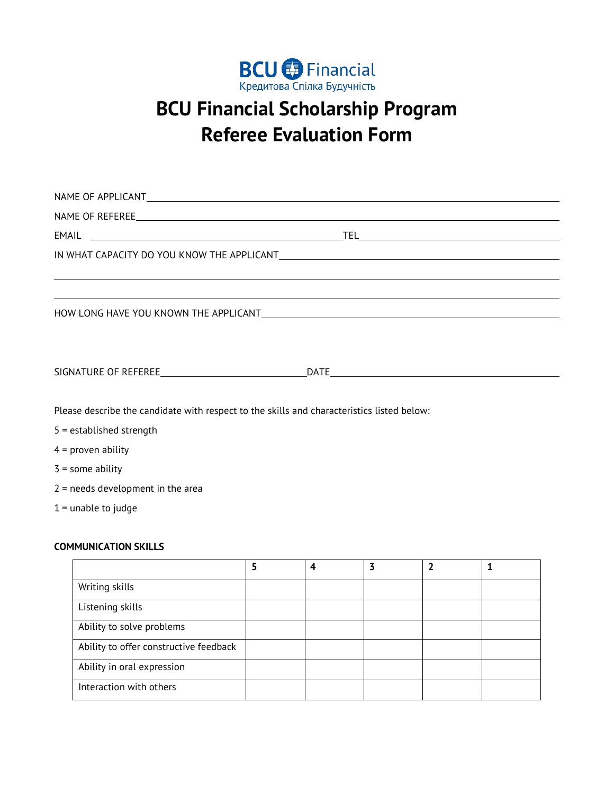

## **BCU Financial Scholarship Program Referee Evaluation Form**

| EMAIL                                                                                                          |                |                |                |                |              |  |
|----------------------------------------------------------------------------------------------------------------|----------------|----------------|----------------|----------------|--------------|--|
| IN WHAT CAPACITY DO YOU KNOW THE APPLICANT THE RESERVE THE RESERVE THAT A RESERVE THE RESERVE THAT A RESERVE T |                |                |                |                |              |  |
|                                                                                                                |                |                |                |                |              |  |
|                                                                                                                |                |                |                |                |              |  |
| HOW LONG HAVE YOU KNOWN THE APPLICANT MEASURE AND THE APPLICANT CONTROL AND THE APPLICANT                      |                |                |                |                |              |  |
|                                                                                                                |                |                |                |                |              |  |
|                                                                                                                |                |                |                |                |              |  |
|                                                                                                                |                |                |                |                |              |  |
|                                                                                                                |                |                |                |                |              |  |
| Please describe the candidate with respect to the skills and characteristics listed below:                     |                |                |                |                |              |  |
| $5 =$ established strength                                                                                     |                |                |                |                |              |  |
| $4 =$ proven ability                                                                                           |                |                |                |                |              |  |
| $3 =$ some ability                                                                                             |                |                |                |                |              |  |
| $2$ = needs development in the area                                                                            |                |                |                |                |              |  |
| $1 =$ unable to judge                                                                                          |                |                |                |                |              |  |
|                                                                                                                |                |                |                |                |              |  |
| <b>COMMUNICATION SKILLS</b>                                                                                    |                |                |                |                |              |  |
|                                                                                                                | $\overline{5}$ | $\overline{4}$ | $\overline{3}$ | $\overline{2}$ | $\mathbf{1}$ |  |
| Writing skills                                                                                                 |                |                |                |                |              |  |
| Listening skills                                                                                               |                |                |                |                |              |  |
| Ability to solve problems                                                                                      |                |                |                |                |              |  |
| Ability to offer constructive feedback                                                                         |                |                |                |                |              |  |
| Ability in oral expression                                                                                     |                |                |                |                |              |  |

Interaction with others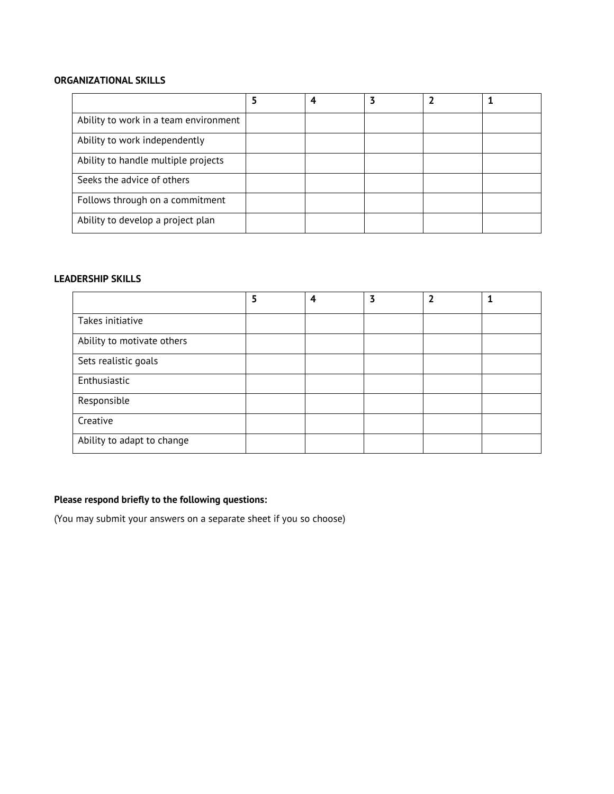## **ORGANIZATIONAL SKILLS**

|                                       | Δ |  |  |
|---------------------------------------|---|--|--|
| Ability to work in a team environment |   |  |  |
| Ability to work independently         |   |  |  |
| Ability to handle multiple projects   |   |  |  |
| Seeks the advice of others            |   |  |  |
| Follows through on a commitment       |   |  |  |
| Ability to develop a project plan     |   |  |  |

## **LEADERSHIP SKILLS**

|                            | 5 | 4 | 3 |  |
|----------------------------|---|---|---|--|
| Takes initiative           |   |   |   |  |
| Ability to motivate others |   |   |   |  |
| Sets realistic goals       |   |   |   |  |
| Enthusiastic               |   |   |   |  |
| Responsible                |   |   |   |  |
| Creative                   |   |   |   |  |
| Ability to adapt to change |   |   |   |  |

## **Please respond briefly to the following questions:**

(You may submit your answers on a separate sheet if you so choose)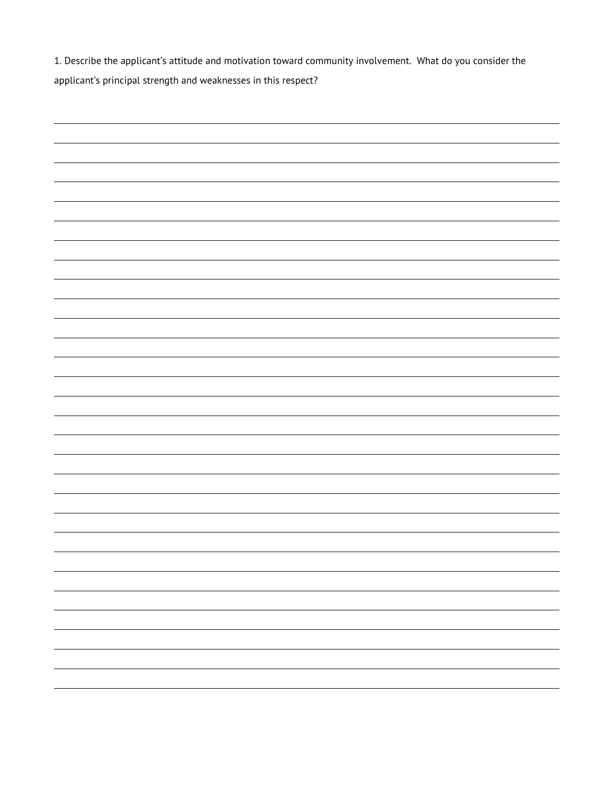1. Describe the applicant's attitude and motivation toward community involvement. What do you consider the applicant's principal strength and weaknesses in this respect?